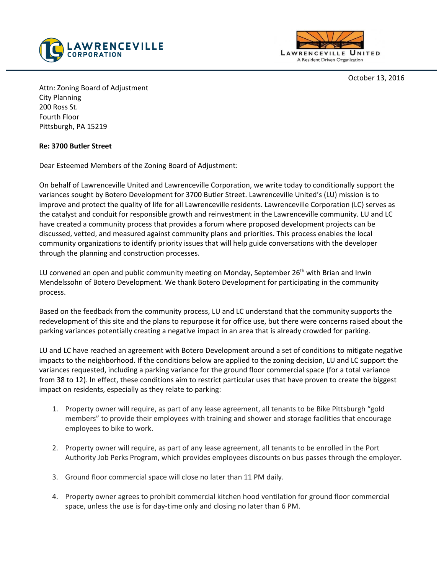



October 13, 2016

Attn: Zoning Board of Adjustment City Planning 200 Ross St. Fourth Floor Pittsburgh, PA 15219

## **Re: 3700 Butler Street**

Dear Esteemed Members of the Zoning Board of Adjustment:

On behalf of Lawrenceville United and Lawrenceville Corporation, we write today to conditionally support the variances sought by Botero Development for 3700 Butler Street. Lawrenceville United's (LU) mission is to improve and protect the quality of life for all Lawrenceville residents. Lawrenceville Corporation (LC) serves as the catalyst and conduit for responsible growth and reinvestment in the Lawrenceville community. LU and LC have created a community process that provides a forum where proposed development projects can be discussed, vetted, and measured against community plans and priorities. This process enables the local community organizations to identify priority issues that will help guide conversations with the developer through the planning and construction processes.

LU convened an open and public community meeting on Monday, September 26<sup>th</sup> with Brian and Irwin Mendelssohn of Botero Development. We thank Botero Development for participating in the community process.

Based on the feedback from the community process, LU and LC understand that the community supports the redevelopment of this site and the plans to repurpose it for office use, but there were concerns raised about the parking variances potentially creating a negative impact in an area that is already crowded for parking.

LU and LC have reached an agreement with Botero Development around a set of conditions to mitigate negative impacts to the neighborhood. If the conditions below are applied to the zoning decision, LU and LC support the variances requested, including a parking variance for the ground floor commercial space (for a total variance from 38 to 12). In effect, these conditions aim to restrict particular uses that have proven to create the biggest impact on residents, especially as they relate to parking:

- 1. Property owner will require, as part of any lease agreement, all tenants to be Bike Pittsburgh "gold members" to provide their employees with training and shower and storage facilities that encourage employees to bike to work.
- 2. Property owner will require, as part of any lease agreement, all tenants to be enrolled in the Port Authority Job Perks Program, which provides employees discounts on bus passes through the employer.
- 3. Ground floor commercial space will close no later than 11 PM daily.
- 4. Property owner agrees to prohibit commercial kitchen hood ventilation for ground floor commercial space, unless the use is for day-time only and closing no later than 6 PM.